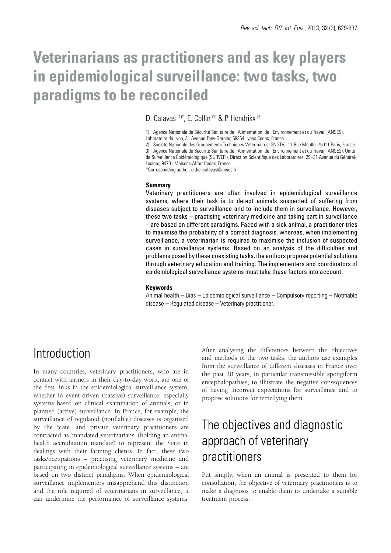# **Veterinarians as practitioners and as key players in epidemiological surveillance: two tasks, two paradigms to be reconciled**

D. Calavas (1)\*, E. Collin (2) & P. Hendrikx (3)

1) Agence Nationale de Sécurité Sanitaire de l'Alimentation, de l'Environnement et du Travail (ANSES),

Laboratoire de Lyon, 31 Avenue Tony-Garnier, 69364 Lyons Cedex, France

2) Société Nationale des Groupements Techniques Vétérinaires (SNGTV), 11 Rue Moufle, 75011 Paris, France 3) Agence Nationale de Sécurité Sanitaire de l'Alimentation, de l'Environnement et du Travail (ANSES), Unité de Surveillance Épidémiologique (SURVEPI), Direction Scientifique des Laboratoires, 29–31 Avenue du Général-Leclerc, 94701 Maisons-Alfort Cedex, France

\*Corresponding author: didier.calavas@anses.fr

#### **Summary**

Veterinary practitioners are often involved in epidemiological surveillance systems, where their task is to detect animals suspected of suffering from diseases subject to surveillance and to include them in surveillance. However, these two tasks – practising veterinary medicine and taking part in surveillance – are based on different paradigms. Faced with a sick animal, a practitioner tries to maximise the probability of a correct diagnosis, whereas, when implementing surveillance, a veterinarian is required to maximise the inclusion of suspected cases in surveillance systems. Based on an analysis of the difficulties and problems posed by these coexisting tasks, the authors propose potential solutions through veterinary education and training. The implementers and coordinators of epidemiological surveillance systems must take these factors into account.

#### **Keywords**

Animal health – Bias – Epidemiological surveillance – Compulsory reporting – Notifiable disease – Regulated disease – Veterinary practitioner.

### Introduction

In many countries, veterinary practitioners, who are in contact with farmers in their day-to-day work, are one of the first links in the epidemiological surveillance system, whether in event-driven (passive) surveillance, especially systems based on clinical examination of animals, or in planned (active) surveillance. In France, for example, the surveillance of regulated (notifiable) diseases is organised by the State, and private veterinary practitioners are contracted as 'mandated veterinarians' (holding an animal health accreditation mandate) to represent the State in dealings with their farming clients. In fact, these two tasks/occupations – practising veterinary medicine and participating in epidemiological surveillance systems – are based on two distinct paradigms. When epidemiological surveillance implementers misapprehend this distinction and the role required of veterinarians in surveillance, it can undermine the performance of surveillance systems.

After analysing the differences between the objectives and methods of the two tasks, the authors use examples from the surveillance of different diseases in France over the past 20 years, in particular transmissible spongiform encephalopathies, to illustrate the negative consequences of having incorrect expectations for surveillance and to propose solutions for remedying them.

### The objectives and diagnostic approach of veterinary practitioners

Put simply, when an animal is presented to them for consultation, the objective of veterinary practitioners is to make a diagnosis to enable them to undertake a suitable treatment process.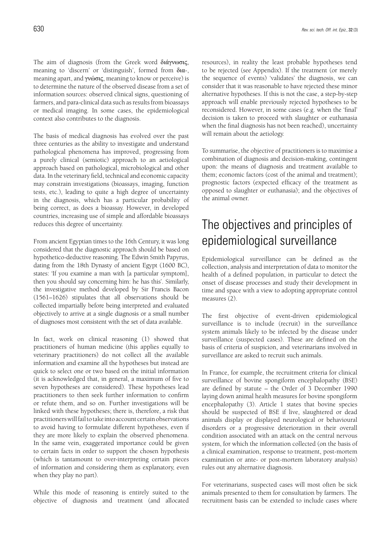The aim of diagnosis (from the Greek word διάγνωσις, meaning to 'discern' or 'distinguish', formed from δια-, meaning apart, and γνώσις, meaning to know or perceive) is to determine the nature of the observed disease from a set of information sources: observed clinical signs, questioning of farmers, and para-clinical data such as results from bioassays or medical imaging. In some cases, the epidemiological context also contributes to the diagnosis.

The basis of medical diagnosis has evolved over the past three centuries as the ability to investigate and understand pathological phenomena has improved, progressing from a purely clinical (semiotic) approach to an aetiological approach based on pathological, microbiological and other data. In the veterinary field, technical and economic capacity may constrain investigations (bioassays, imaging, function tests, etc.), leading to quite a high degree of uncertainty in the diagnosis, which has a particular probability of being correct, as does a bioassay. However, in developed countries, increasing use of simple and affordable bioassays reduces this degree of uncertainty.

From ancient Egyptian times to the 16th Century, it was long considered that the diagnostic approach should be based on hypothetico-deductive reasoning. The Edwin Smith Papyrus, dating from the 18th Dynasty of ancient Egypt (1600 BC), states: 'If you examine a man with [a particular symptom], then you should say concerning him: he has this'. Similarly, the investigative method developed by Sir Francis Bacon (1561–1626) stipulates that all observations should be collected impartially before being interpreted and evaluated objectively to arrive at a single diagnosis or a small number of diagnoses most consistent with the set of data available.

In fact, work on clinical reasoning (1) showed that practitioners of human medicine (this applies equally to veterinary practitioners) do not collect all the available information and examine all the hypotheses but instead are quick to select one or two based on the initial information (it is acknowledged that, in general, a maximum of five to seven hypotheses are considered). These hypotheses lead practitioners to then seek further information to confirm or refute them, and so on. Further investigations will be linked with these hypotheses; there is, therefore, a risk that practitioners will fail to take into account certain observations to avoid having to formulate different hypotheses, even if they are more likely to explain the observed phenomena. In the same vein, exaggerated importance could be given to certain facts in order to support the chosen hypothesis (which is tantamount to over-interpreting certain pieces of information and considering them as explanatory, even when they play no part).

While this mode of reasoning is entirely suited to the objective of diagnosis and treatment (and allocated resources), in reality the least probable hypotheses tend to be rejected (see Appendix). If the treatment (or merely the sequence of events) 'validates' the diagnosis, we can consider that it was reasonable to have rejected these minor alternative hypotheses. If this is not the case, a step-by-step approach will enable previously rejected hypotheses to be reconsidered. However, in some cases (e.g. when the 'final' decision is taken to proceed with slaughter or euthanasia when the final diagnosis has not been reached), uncertainty will remain about the aetiology.

To summarise, the objective of practitioners is to maximise a combination of diagnosis and decision-making, contingent upon: the means of diagnosis and treatment available to them; economic factors (cost of the animal and treatment); prognostic factors (expected efficacy of the treatment as opposed to slaughter or euthanasia); and the objectives of the animal owner.

### The objectives and principles of epidemiological surveillance

Epidemiological surveillance can be defined as the collection, analysis and interpretation of data to monitor the health of a defined population, in particular to detect the onset of disease processes and study their development in time and space with a view to adopting appropriate control measures (2).

The first objective of event-driven epidemiological surveillance is to include (recruit) in the surveillance system animals likely to be infected by the disease under surveillance (suspected cases). These are defined on the basis of criteria of suspicion, and veterinarians involved in surveillance are asked to recruit such animals.

In France, for example, the recruitment criteria for clinical surveillance of bovine spongiform encephalopathy (BSE) are defined by statute – the Order of 3 December 1990 laying down animal health measures for bovine spongiform encephalopathy (3). Article 1 states that bovine species should be suspected of BSE if live, slaughtered or dead animals display or displayed neurological or behavioural disorders or a progressive deterioration in their overall condition associated with an attack on the central nervous system, for which the information collected (on the basis of a clinical examination, response to treatment, post-mortem examination or ante- or post-mortem laboratory analysis) rules out any alternative diagnosis.

For veterinarians, suspected cases will most often be sick animals presented to them for consultation by farmers. The recruitment basis can be extended to include cases where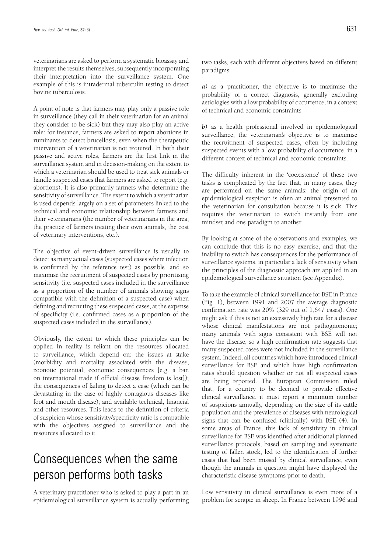veterinarians are asked to perform a systematic bioassay and interpret the results themselves, subsequently incorporating their interpretation into the surveillance system. One example of this is intradermal tuberculin testing to detect bovine tuberculosis.

A point of note is that farmers may play only a passive role in surveillance (they call in their veterinarian for an animal they consider to be sick) but they may also play an active role: for instance, farmers are asked to report abortions in ruminants to detect brucellosis, even when the therapeutic intervention of a veterinarian is not required. In both their passive and active roles, farmers are the first link in the surveillance system and in decision-making on the extent to which a veterinarian should be used to treat sick animals or handle suspected cases that farmers are asked to report (e.g. abortions). It is also primarily farmers who determine the sensitivity of surveillance. The extent to which a veterinarian is used depends largely on a set of parameters linked to the technical and economic relationship between farmers and their veterinarians (the number of veterinarians in the area, the practice of farmers treating their own animals, the cost of veterinary interventions, etc.).

The objective of event-driven surveillance is usually to detect as many actual cases (suspected cases where infection is confirmed by the reference test) as possible, and so maximise the recruitment of suspected cases by prioritising sensitivity (i.e. suspected cases included in the surveillance as a proportion of the number of animals showing signs compatible with the definition of a suspected case) when defining and recruiting these suspected cases, at the expense of specificity (i.e. confirmed cases as a proportion of the suspected cases included in the surveillance).

Obviously, the extent to which these principles can be applied in reality is reliant on the resources allocated to surveillance, which depend on: the issues at stake (morbidity and mortality associated with the disease, zoonotic potential, economic consequences [e.g. a ban on international trade if official disease freedom is lost]); the consequences of failing to detect a case (which can be devastating in the case of highly contagious diseases like foot and mouth disease); and available technical, financial and other resources. This leads to the definition of criteria of suspicion whose sensitivity/specificity ratio is compatible with the objectives assigned to surveillance and the resources allocated to it.

### Consequences when the same person performs both tasks

A veterinary practitioner who is asked to play a part in an epidemiological surveillance system is actually performing two tasks, each with different objectives based on different paradigms:

*a)* as a practitioner, the objective is to maximise the probability of a correct diagnosis, generally excluding aetiologies with a low probability of occurrence, in a context of technical and economic constraints

*b)* as a health professional involved in epidemiological surveillance, the veterinarian's objective is to maximise the recruitment of suspected cases, often by including suspected events with a low probability of occurrence, in a different context of technical and economic constraints.

The difficulty inherent in the 'coexistence' of these two tasks is complicated by the fact that, in many cases, they are performed on the same animals: the origin of an epidemiological suspicion is often an animal presented to the veterinarian for consultation because it is sick. This requires the veterinarian to switch instantly from one mindset and one paradigm to another.

By looking at some of the observations and examples, we can conclude that this is no easy exercise, and that the inability to switch has consequences for the performance of surveillance systems, in particular a lack of sensitivity when the principles of the diagnostic approach are applied in an epidemiological surveillance situation (see Appendix).

To take the example of clinical surveillance for BSE in France (Fig. 1), between 1991 and 2007 the average diagnostic confirmation rate was 20% (329 out of 1,647 cases). One might ask if this is not an excessively high rate for a disease whose clinical manifestations are not pathognomonic; many animals with signs consistent with BSE will not have the disease, so a high confirmation rate suggests that many suspected cases were not included in the surveillance system. Indeed, all countries which have introduced clinical surveillance for BSE and which have high confirmation rates should question whether or not all suspected cases are being reported. The European Commission ruled that, for a country to be deemed to provide effective clinical surveillance, it must report a minimum number of suspicions annually, depending on the size of its cattle population and the prevalence of diseases with neurological signs that can be confused (clinically) with BSE (4). In some areas of France, this lack of sensitivity in clinical surveillance for BSE was identified after additional planned surveillance protocols, based on sampling and systematic testing of fallen stock, led to the identification of further cases that had been missed by clinical surveillance, even though the animals in question might have displayed the characteristic disease symptoms prior to death.

Low sensitivity in clinical surveillance is even more of a problem for scrapie in sheep. In France between 1996 and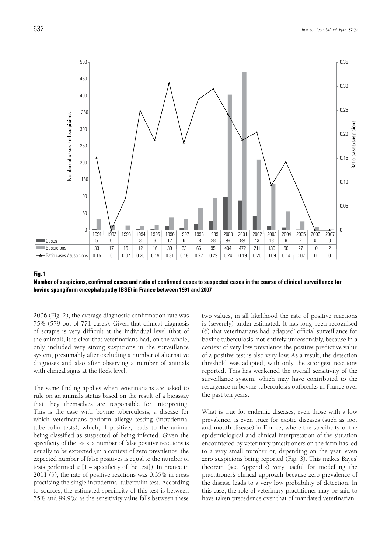

#### **Fig. 1**

**Number of suspicions, confirmed cases and ratio of confirmed cases to suspected cases in the course of clinical surveillance for bovine spongiform encephalopathy (BSE) in France between 1991 and 2007**

2006 (Fig. 2), the average diagnostic confirmation rate was 75% (579 out of 771 cases). Given that clinical diagnosis of scrapie is very difficult at the individual level (that of the animal), it is clear that veterinarians had, on the whole, only included very strong suspicions in the surveillance system, presumably after excluding a number of alternative diagnoses and also after observing a number of animals with clinical signs at the flock level.

The same finding applies when veterinarians are asked to rule on an animal's status based on the result of a bioassay that they themselves are responsible for interpreting. This is the case with bovine tuberculosis, a disease for which veterinarians perform allergy testing (intradermal tuberculin tests), which, if positive, leads to the animal being classified as suspected of being infected. Given the specificity of the tests, a number of false positive reactions is usually to be expected (in a context of zero prevalence, the expected number of false positives is equal to the number of tests performed  $\times$  [1 – specificity of the test]). In France in 2011 (5), the rate of positive reactions was 0.35% in areas practising the single intradermal tuberculin test. According to sources, the estimated specificity of this test is between 75% and 99.9%; as the sensitivity value falls between these

two values, in all likelihood the rate of positive reactions is (severely) under-estimated. It has long been recognised (6) that veterinarians had 'adapted' official surveillance for bovine tuberculosis, not entirely unreasonably, because in a context of very low prevalence the positive predictive value of a positive test is also very low. As a result, the detection threshold was adapted, with only the strongest reactions reported. This has weakened the overall sensitivity of the surveillance system, which may have contributed to the resurgence in bovine tuberculosis outbreaks in France over the past ten years.

What is true for endemic diseases, even those with a low prevalence, is even truer for exotic diseases (such as foot and mouth disease) in France, where the specificity of the epidemiological and clinical interpretation of the situation encountered by veterinary practitioners on the farm has led to a very small number or, depending on the year, even zero suspicions being reported (Fig. 3). This makes Bayes' theorem (see Appendix) very useful for modelling the practitioner's clinical approach because zero prevalence of the disease leads to a very low probability of detection. In this case, the role of veterinary practitioner may be said to have taken precedence over that of mandated veterinarian.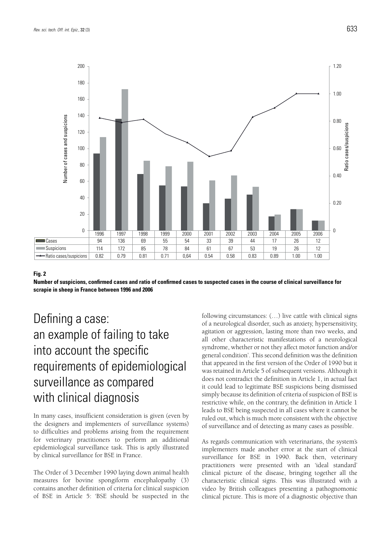

#### **Fig. 2**

**Number of suspicions, confirmed cases and ratio of confirmed cases to suspected cases in the course of clinical surveillance for scrapie in sheep in France between 1996 and 2006**

## Defining a case: an example of failing to take into account the specific requirements of epidemiological surveillance as compared with clinical diagnosis

In many cases, insufficient consideration is given (even by the designers and implementers of surveillance systems) to difficulties and problems arising from the requirement for veterinary practitioners to perform an additional epidemiological surveillance task. This is aptly illustrated by clinical surveillance for BSE in France.

The Order of 3 December 1990 laying down animal health measures for bovine spongiform encephalopathy (3) contains another definition of criteria for clinical suspicion of BSE in Article 5: 'BSE should be suspected in the

following circumstances: (…) live cattle with clinical signs of a neurological disorder, such as anxiety, hypersensitivity, agitation or aggression, lasting more than two weeks, and all other characteristic manifestations of a neurological syndrome, whether or not they affect motor function and/or general condition'. This second definition was the definition that appeared in the first version of the Order of 1990 but it was retained in Article 5 of subsequent versions. Although it does not contradict the definition in Article 1, in actual fact it could lead to legitimate BSE suspicions being dismissed simply because its definition of criteria of suspicion of BSE is restrictive while, on the contrary, the definition in Article 1 leads to BSE being suspected in all cases where it cannot be ruled out, which is much more consistent with the objective of surveillance and of detecting as many cases as possible.

As regards communication with veterinarians, the system's implementers made another error at the start of clinical surveillance for BSE in 1990. Back then, veterinary practitioners were presented with an 'ideal standard' clinical picture of the disease, bringing together all the characteristic clinical signs. This was illustrated with a video by British colleagues presenting a pathognomonic clinical picture. This is more of a diagnostic objective than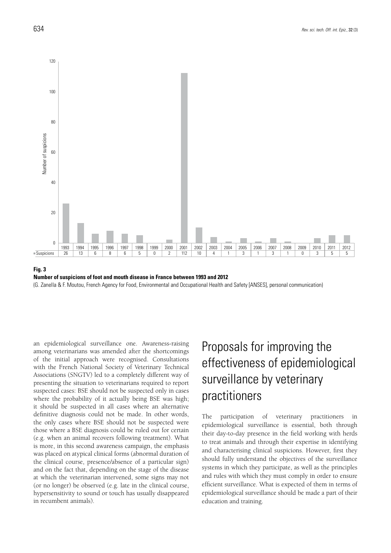

**Fig. 3 Number of suspicions of foot and mouth disease in France between 1993 and 2012** (G. Zanella & F. Moutou, French Agency for Food, Environmental and Occupational Health and Safety [ANSES], personal communication)

an epidemiological surveillance one. Awareness-raising among veterinarians was amended after the shortcomings of the initial approach were recognised. Consultations with the French National Society of Veterinary Technical Associations (SNGTV) led to a completely different way of presenting the situation to veterinarians required to report suspected cases: BSE should not be suspected only in cases where the probability of it actually being BSE was high; it should be suspected in all cases where an alternative definitive diagnosis could not be made. In other words, the only cases where BSE should not be suspected were those where a BSE diagnosis could be ruled out for certain (e.g. when an animal recovers following treatment). What is more, in this second awareness campaign, the emphasis was placed on atypical clinical forms (abnormal duration of the clinical course, presence/absence of a particular sign) and on the fact that, depending on the stage of the disease at which the veterinarian intervened, some signs may not (or no longer) be observed (e.g. late in the clinical course, hypersensitivity to sound or touch has usually disappeared in recumbent animals).

## Proposals for improving the effectiveness of epidemiological surveillance by veterinary practitioners

The participation of veterinary practitioners in epidemiological surveillance is essential, both through their day-to-day presence in the field working with herds to treat animals and through their expertise in identifying and characterising clinical suspicions. However, first they should fully understand the objectives of the surveillance systems in which they participate, as well as the principles and rules with which they must comply in order to ensure efficient surveillance. What is expected of them in terms of epidemiological surveillance should be made a part of their education and training.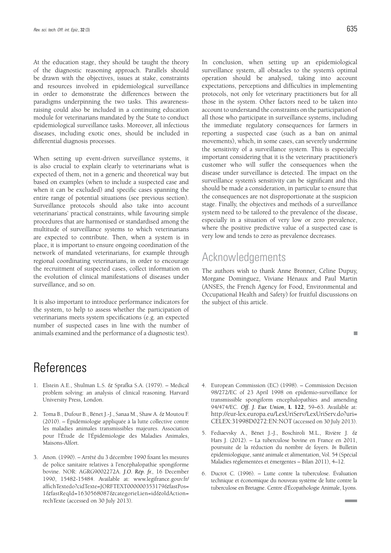At the education stage, they should be taught the theory of the diagnostic reasoning approach. Parallels should be drawn with the objectives, issues at stake, constraints and resources involved in epidemiological surveillance in order to demonstrate the differences between the paradigms underpinning the two tasks. This awarenessraising could also be included in a continuing education module for veterinarians mandated by the State to conduct epidemiological surveillance tasks. Moreover, all infectious diseases, including exotic ones, should be included in differential diagnosis processes.

When setting up event-driven surveillance systems, it is also crucial to explain clearly to veterinarians what is expected of them, not in a generic and theoretical way but based on examples (when to include a suspected case and when it can be excluded) and specific cases spanning the entire range of potential situations (see previous section). Surveillance protocols should also take into account veterinarians' practical constraints, while favouring simple procedures that are harmonised or standardised among the multitude of surveillance systems to which veterinarians are expected to contribute. Then, when a system is in place, it is important to ensure ongoing coordination of the network of mandated veterinarians, for example through regional coordinating veterinarians, in order to encourage the recruitment of suspected cases, collect information on the evolution of clinical manifestations of diseases under surveillance, and so on.

It is also important to introduce performance indicators for the system, to help to assess whether the participation of veterinarians meets system specifications (e.g. an expected number of suspected cases in line with the number of animals examined and the performance of a diagnostic test).

### **References**

- 1. Elstein A.E., Shulman L.S. & Sprafka S.A. (1979). Medical problem solving: an analysis of clinical reasoning. Harvard University Press, London.
- 2. Toma B., Dufour B., Bénet J.-J., Sanaa M., Shaw A. & Moutou F. (2010). – Épidémiologie appliquée à la lutte collective contre les maladies animales transmissibles majeures. Association pour l'Étude de l'Épidémiologie des Maladies Animales, Maisons-Alfort.
- 3. Anon. (1990). Arrêté du 3 décembre 1990 fixant les mesures de police sanitaire relatives à l'encéphalopathie spongiforme bovine. NOR: AGRG9002272A. *J.O. Rép. fr.*, 16 December 1990, 15482-15484. Available at: www.legifrance.gouv.fr/ affichTextedo?cidTexte=JORFTEXT000000353179&fastPos= 1&fastReqId=1630568087&categorieLien=id&oldAction= rechTexte (accessed on 30 July 2013).

In conclusion, when setting up an epidemiological surveillance system, all obstacles to the system's optimal operation should be analysed, taking into account expectations, perceptions and difficulties in implementing protocols, not only for veterinary practitioners but for all those in the system. Other factors need to be taken into account to understand the constraints on the participation of all those who participate in surveillance systems, including the immediate regulatory consequences for farmers in reporting a suspected case (such as a ban on animal movements), which, in some cases, can severely undermine the sensitivity of a surveillance system. This is especially important considering that it is the veterinary practitioner's customer who will suffer the consequences when the disease under surveillance is detected. The impact on the surveillance system's sensitivity can be significant and this should be made a consideration, in particular to ensure that the consequences are not disproportionate at the suspicion stage. Finally, the objectives and methods of a surveillance system need to be tailored to the prevalence of the disease, especially in a situation of very low or zero prevalence, where the positive predictive value of a suspected case is very low and tends to zero as prevalence decreases.

### Acknowledgements

The authors wish to thank Anne Bronner, Céline Dupuy, Morgane Dominguez, Viviane Hénaux and Paul Martin (ANSES, the French Agency for Food, Environmental and Occupational Health and Safety) for fruitful discussions on the subject of this article.

- 4. European Commission (EC) (1998). Commission Decision 98/272/EC of 23 April 1998 on epidemio-surveillance for transmissible spongiform encephalopathies and amending 94/474/EC. *Off. J. Eur. Union*, **L 122**, 59–63. Available at: http://eur-lex.europa.eu/LexUriServ/LexUriServ.do?uri= CELEX:31998D0272:EN:NOT (accessed on 30 July 2013).
- 5. Fediaevsky A., Bénet J.-J., Boschiroli M.L., Rivière J. & Hars J. (2012). – La tuberculose bovine en France en 2011, poursuite de la réduction du nombre de foyers. *In* Bulletin épidémiologique, santé animale et alimentation, Vol. 54 (Spécial Maladies réglementées et émergentes – Bilan 2011), 4–12.
- 6. Ducrot C. (1996). Lutte contre la tuberculose. Évaluation technique et économique du nouveau système de lutte contre la tuberculose en Bretagne. Centre d'Écopathologie Animale, Lyons.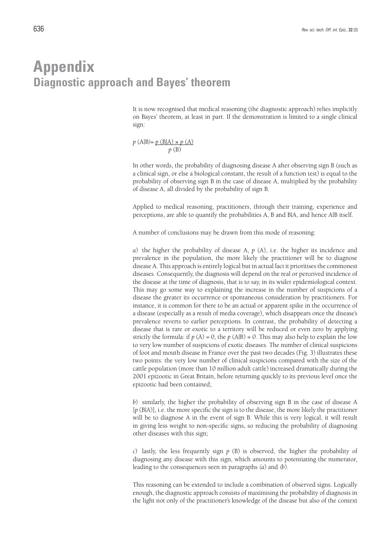### **Appendix Diagnostic approach and Bayes' theorem**

It is now recognised that medical reasoning (the diagnostic approach) relies implicitly on Bayes' theorem, at least in part. If the demonstration is limited to a single clinical sign:

$$
p (A|B) = p (B|A) \times p (A)
$$

$$
p (B)
$$

In other words, the probability of diagnosing disease A after observing sign B (such as a clinical sign, or else a biological constant, the result of a function test) is equal to the probability of observing sign B in the case of disease A, multiplied by the probability of disease A, all divided by the probability of sign B.

Applied to medical reasoning, practitioners, through their training, experience and perceptions, are able to quantify the probabilities A, B and B|A, and hence A|B itself.

A number of conclusions may be drawn from this mode of reasoning:

*a*) the higher the probability of disease A, *p* (A), i.e. the higher its incidence and prevalence in the population, the more likely the practitioner will be to diagnose disease A. This approach is entirely logical but in actual fact it prioritises the commonest diseases. Consequently, the diagnosis will depend on the real or perceived incidence of the disease at the time of diagnosis, that is to say, in its wider epidemiological context. This may go some way to explaining the increase in the number of suspicions of a disease the greater its occurrence or spontaneous consideration by practitioners. For instance, it is common for there to be an actual or apparent spike in the occurrence of a disease (especially as a result of media coverage), which disappears once the disease's prevalence reverts to earlier perceptions. In contrast, the probability of detecting a disease that is rare or exotic to a territory will be reduced or even zero by applying strictly the formula: if  $p(A) = 0$ , the  $p(A|B) = 0$ . This may also help to explain the low to very low number of suspicions of exotic diseases. The number of clinical suspicions of foot and mouth disease in France over the past two decades (Fig. 3) illustrates these two points: the very low number of clinical suspicions compared with the size of the cattle population (more than 10 million adult cattle) increased dramatically during the 2001 epizootic in Great Britain, before returning quickly to its previous level once the epizootic had been contained;

*b*) similarly, the higher the probability of observing sign B in the case of disease A [*p* (B|A)], i.e. the more specific the sign is to the disease, the more likely the practitioner will be to diagnose A in the event of sign B. While this is very logical, it will result in giving less weight to non-specific signs, so reducing the probability of diagnosing other diseases with this sign;

*c*) lastly, the less frequently sign *p* (B) is observed, the higher the probability of diagnosing any disease with this sign, which amounts to potentiating the numerator, leading to the consequences seen in paragraphs *(a*) and *(b*).

This reasoning can be extended to include a combination of observed signs. Logically enough, the diagnostic approach consists of maximising the probability of diagnosis in the light not only of the practitioner's knowledge of the disease but also of the context